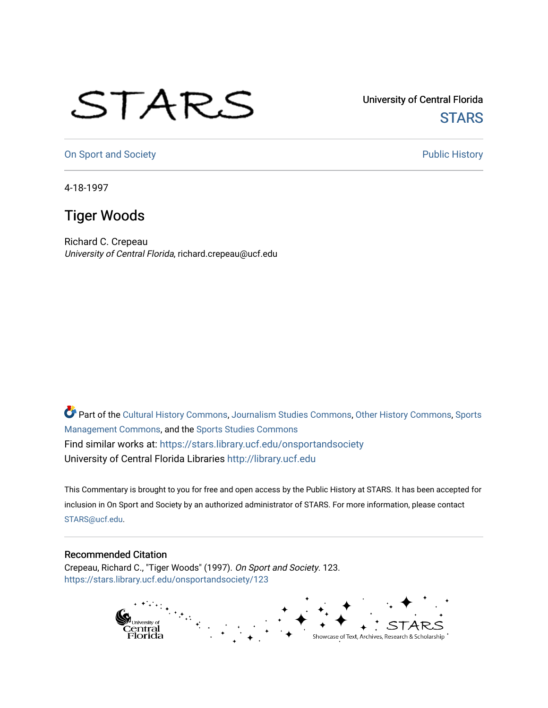## STARS

University of Central Florida **STARS** 

[On Sport and Society](https://stars.library.ucf.edu/onsportandsociety) **Public History** Public History

4-18-1997

## Tiger Woods

Richard C. Crepeau University of Central Florida, richard.crepeau@ucf.edu

Part of the [Cultural History Commons](http://network.bepress.com/hgg/discipline/496?utm_source=stars.library.ucf.edu%2Fonsportandsociety%2F123&utm_medium=PDF&utm_campaign=PDFCoverPages), [Journalism Studies Commons,](http://network.bepress.com/hgg/discipline/333?utm_source=stars.library.ucf.edu%2Fonsportandsociety%2F123&utm_medium=PDF&utm_campaign=PDFCoverPages) [Other History Commons,](http://network.bepress.com/hgg/discipline/508?utm_source=stars.library.ucf.edu%2Fonsportandsociety%2F123&utm_medium=PDF&utm_campaign=PDFCoverPages) [Sports](http://network.bepress.com/hgg/discipline/1193?utm_source=stars.library.ucf.edu%2Fonsportandsociety%2F123&utm_medium=PDF&utm_campaign=PDFCoverPages) [Management Commons](http://network.bepress.com/hgg/discipline/1193?utm_source=stars.library.ucf.edu%2Fonsportandsociety%2F123&utm_medium=PDF&utm_campaign=PDFCoverPages), and the [Sports Studies Commons](http://network.bepress.com/hgg/discipline/1198?utm_source=stars.library.ucf.edu%2Fonsportandsociety%2F123&utm_medium=PDF&utm_campaign=PDFCoverPages) Find similar works at: <https://stars.library.ucf.edu/onsportandsociety> University of Central Florida Libraries [http://library.ucf.edu](http://library.ucf.edu/) 

This Commentary is brought to you for free and open access by the Public History at STARS. It has been accepted for inclusion in On Sport and Society by an authorized administrator of STARS. For more information, please contact [STARS@ucf.edu](mailto:STARS@ucf.edu).

## Recommended Citation

Crepeau, Richard C., "Tiger Woods" (1997). On Sport and Society. 123. [https://stars.library.ucf.edu/onsportandsociety/123](https://stars.library.ucf.edu/onsportandsociety/123?utm_source=stars.library.ucf.edu%2Fonsportandsociety%2F123&utm_medium=PDF&utm_campaign=PDFCoverPages)

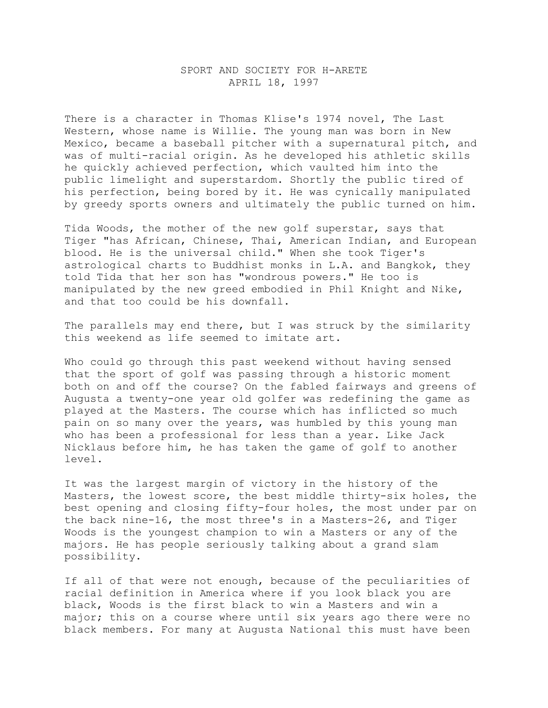## SPORT AND SOCIETY FOR H-ARETE APRIL 18, 1997

There is a character in Thomas Klise's 1974 novel, The Last Western, whose name is Willie. The young man was born in New Mexico, became a baseball pitcher with a supernatural pitch, and was of multi-racial origin. As he developed his athletic skills he quickly achieved perfection, which vaulted him into the public limelight and superstardom. Shortly the public tired of his perfection, being bored by it. He was cynically manipulated by greedy sports owners and ultimately the public turned on him.

Tida Woods, the mother of the new golf superstar, says that Tiger "has African, Chinese, Thai, American Indian, and European blood. He is the universal child." When she took Tiger's astrological charts to Buddhist monks in L.A. and Bangkok, they told Tida that her son has "wondrous powers." He too is manipulated by the new greed embodied in Phil Knight and Nike, and that too could be his downfall.

The parallels may end there, but I was struck by the similarity this weekend as life seemed to imitate art.

Who could go through this past weekend without having sensed that the sport of golf was passing through a historic moment both on and off the course? On the fabled fairways and greens of Augusta a twenty-one year old golfer was redefining the game as played at the Masters. The course which has inflicted so much pain on so many over the years, was humbled by this young man who has been a professional for less than a year. Like Jack Nicklaus before him, he has taken the game of golf to another level.

It was the largest margin of victory in the history of the Masters, the lowest score, the best middle thirty-six holes, the best opening and closing fifty-four holes, the most under par on the back nine-16, the most three's in a Masters-26, and Tiger Woods is the youngest champion to win a Masters or any of the majors. He has people seriously talking about a grand slam possibility.

If all of that were not enough, because of the peculiarities of racial definition in America where if you look black you are black, Woods is the first black to win a Masters and win a major; this on a course where until six years ago there were no black members. For many at Augusta National this must have been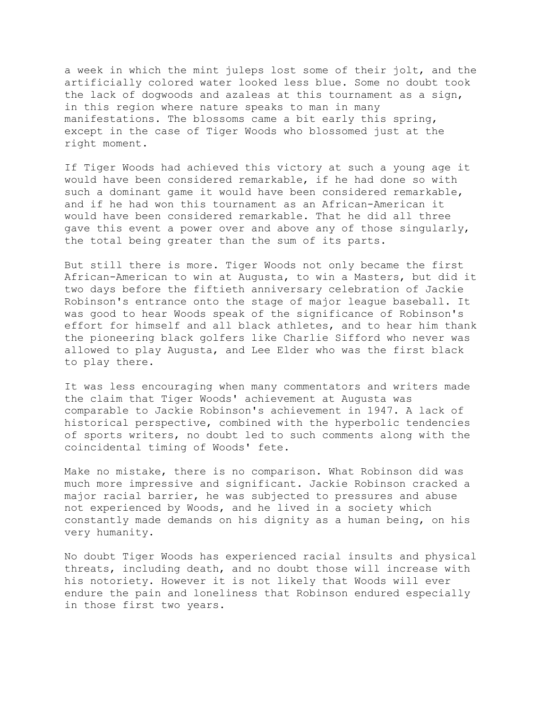a week in which the mint juleps lost some of their jolt, and the artificially colored water looked less blue. Some no doubt took the lack of dogwoods and azaleas at this tournament as a sign, in this region where nature speaks to man in many manifestations. The blossoms came a bit early this spring, except in the case of Tiger Woods who blossomed just at the right moment.

If Tiger Woods had achieved this victory at such a young age it would have been considered remarkable, if he had done so with such a dominant game it would have been considered remarkable, and if he had won this tournament as an African-American it would have been considered remarkable. That he did all three gave this event a power over and above any of those singularly, the total being greater than the sum of its parts.

But still there is more. Tiger Woods not only became the first African-American to win at Augusta, to win a Masters, but did it two days before the fiftieth anniversary celebration of Jackie Robinson's entrance onto the stage of major league baseball. It was good to hear Woods speak of the significance of Robinson's effort for himself and all black athletes, and to hear him thank the pioneering black golfers like Charlie Sifford who never was allowed to play Augusta, and Lee Elder who was the first black to play there.

It was less encouraging when many commentators and writers made the claim that Tiger Woods' achievement at Augusta was comparable to Jackie Robinson's achievement in 1947. A lack of historical perspective, combined with the hyperbolic tendencies of sports writers, no doubt led to such comments along with the coincidental timing of Woods' fete.

Make no mistake, there is no comparison. What Robinson did was much more impressive and significant. Jackie Robinson cracked a major racial barrier, he was subjected to pressures and abuse not experienced by Woods, and he lived in a society which constantly made demands on his dignity as a human being, on his very humanity.

No doubt Tiger Woods has experienced racial insults and physical threats, including death, and no doubt those will increase with his notoriety. However it is not likely that Woods will ever endure the pain and loneliness that Robinson endured especially in those first two years.